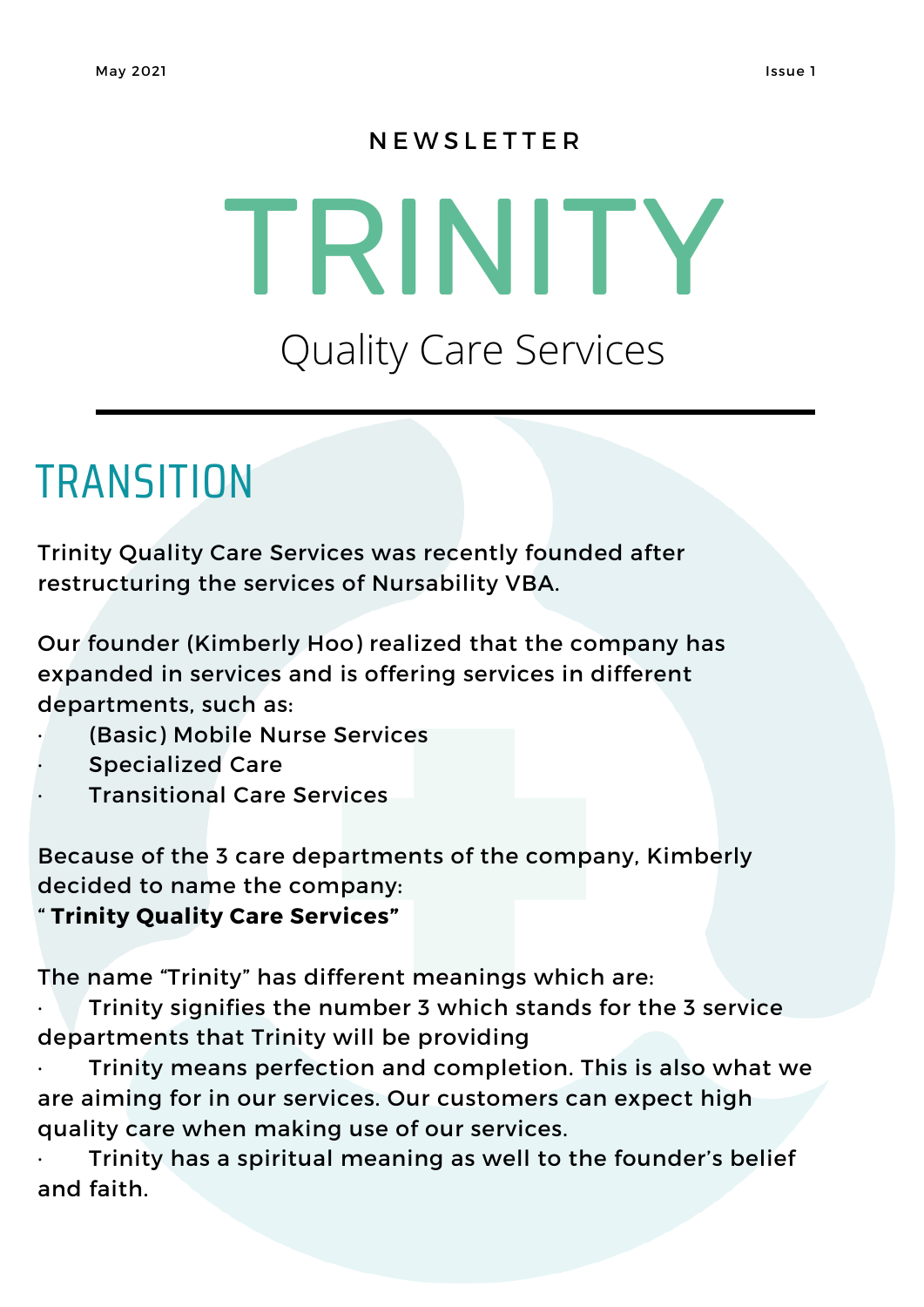#### **N E W S L E T T E R**

# TRINITY Quality Care Services

## **TRANSITION**

Trinity Quality Care Services was recently founded after restructuring the services of Nursability VBA.

Our founder (Kimberly Hoo) realized that the company has expanded in services and is offering services in different departments, such as:

- (Basic) Mobile Nurse Services
- Specialized Care
- **Transitional Care Services**

Because of the 3 care departments of the company, Kimberly decided to name the company:

" **Trinity Quality Care Services"**

The name "Trinity" has different meanings which are:

Trinity signifies the number 3 which stands for the 3 service departments that Trinity will be providing

Trinity means perfection and completion. This is also what we are aiming for in our services. Our customers can expect high quality care when making use of our services.

Trinity has a spiritual meaning as well to the founder's belief and faith.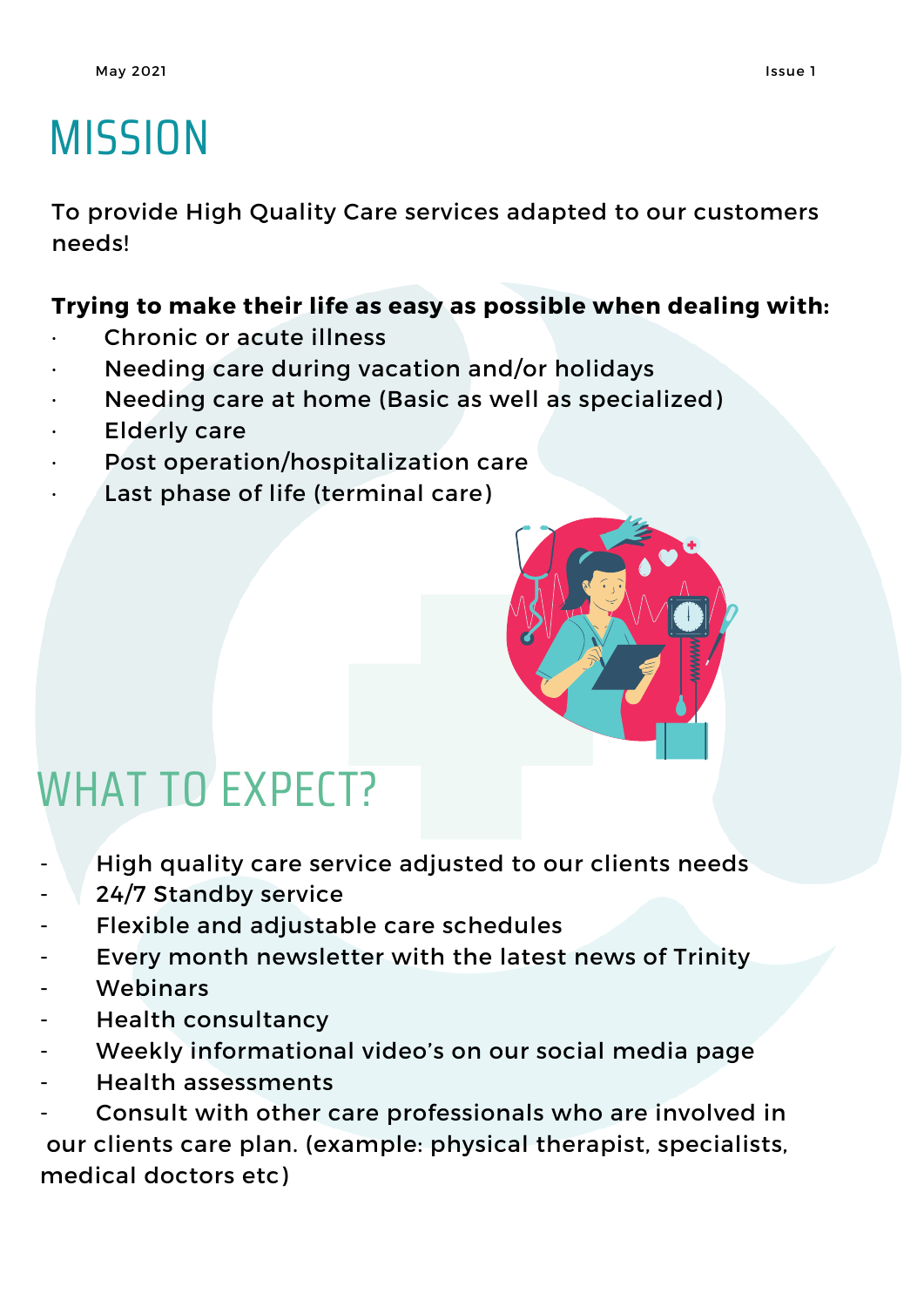# **MISSION**

To provide High Quality Care services adapted to our customers needs!

#### **Trying to make their life as easy as possible when dealing with:**

- Chronic or acute illness
- · Needing care during vacation and/or holidays
- Needing care at home (Basic as well as specialized)
- **Elderly care**
- Post operation/hospitalization care
- Last phase of life (terminal care)



### WHAT TO EXPECT?

- High quality care service adjusted to our clients needs
- 24/7 Standby service
- Flexible and adjustable care schedules
- Every month newsletter with the latest news of Trinity
- **Webinars**
- Health consultancy
- Weekly informational video's on our social media page
- Health assessments

Consult with other care professionals who are involved in our clients care plan. (example: physical therapist, specialists, medical doctors etc)